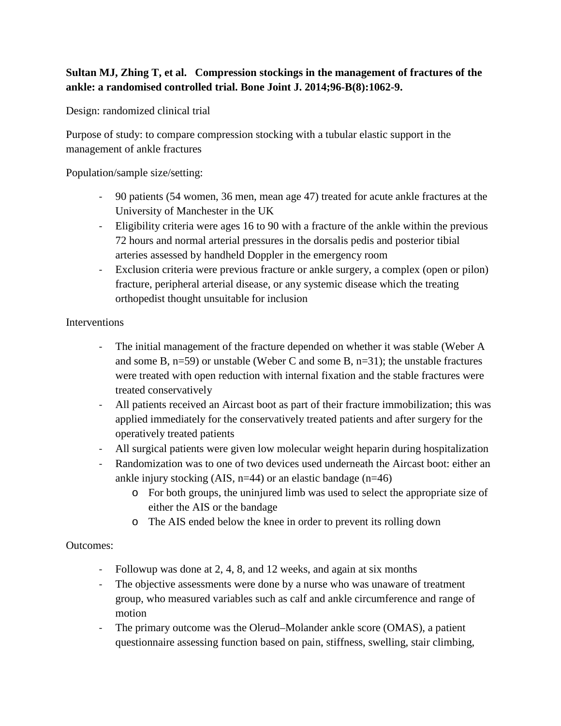## **Sultan MJ, Zhing T, et al. Compression stockings in the management of fractures of the ankle: a randomised controlled trial. Bone Joint J. 2014;96-B(8):1062-9.**

Design: randomized clinical trial

Purpose of study: to compare compression stocking with a tubular elastic support in the management of ankle fractures

Population/sample size/setting:

- 90 patients (54 women, 36 men, mean age 47) treated for acute ankle fractures at the University of Manchester in the UK
- Eligibility criteria were ages 16 to 90 with a fracture of the ankle within the previous 72 hours and normal arterial pressures in the dorsalis pedis and posterior tibial arteries assessed by handheld Doppler in the emergency room
- Exclusion criteria were previous fracture or ankle surgery, a complex (open or pilon) fracture, peripheral arterial disease, or any systemic disease which the treating orthopedist thought unsuitable for inclusion

## **Interventions**

- The initial management of the fracture depended on whether it was stable (Weber A and some B, n=59) or unstable (Weber C and some B, n=31); the unstable fractures were treated with open reduction with internal fixation and the stable fractures were treated conservatively
- All patients received an Aircast boot as part of their fracture immobilization; this was applied immediately for the conservatively treated patients and after surgery for the operatively treated patients
- All surgical patients were given low molecular weight heparin during hospitalization
- Randomization was to one of two devices used underneath the Aircast boot: either an ankle injury stocking (AIS,  $n=44$ ) or an elastic bandage ( $n=46$ )
	- o For both groups, the uninjured limb was used to select the appropriate size of either the AIS or the bandage
	- o The AIS ended below the knee in order to prevent its rolling down

## Outcomes:

- Followup was done at 2, 4, 8, and 12 weeks, and again at six months
- The objective assessments were done by a nurse who was unaware of treatment group, who measured variables such as calf and ankle circumference and range of motion
- The primary outcome was the Olerud–Molander ankle score (OMAS), a patient questionnaire assessing function based on pain, stiffness, swelling, stair climbing,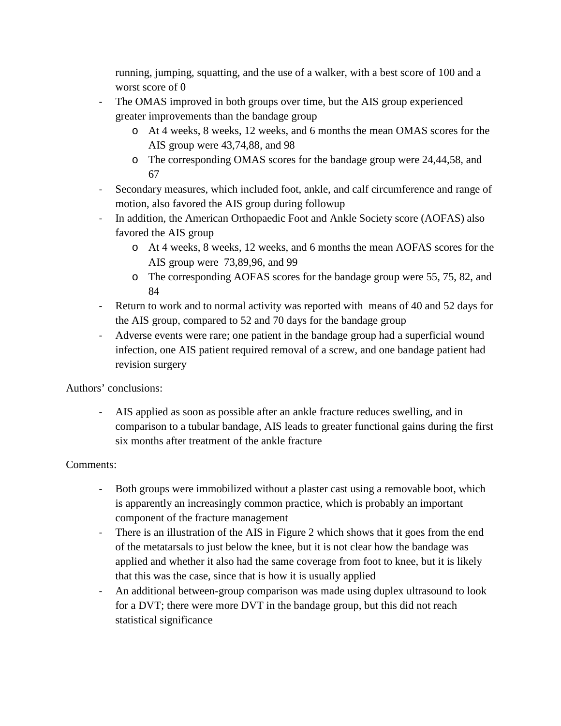running, jumping, squatting, and the use of a walker, with a best score of 100 and a worst score of 0

- The OMAS improved in both groups over time, but the AIS group experienced greater improvements than the bandage group
	- o At 4 weeks, 8 weeks, 12 weeks, and 6 months the mean OMAS scores for the AIS group were 43,74,88, and 98
	- o The corresponding OMAS scores for the bandage group were 24,44,58, and 67
- Secondary measures, which included foot, ankle, and calf circumference and range of motion, also favored the AIS group during followup
- In addition, the American Orthopaedic Foot and Ankle Society score (AOFAS) also favored the AIS group
	- o At 4 weeks, 8 weeks, 12 weeks, and 6 months the mean AOFAS scores for the AIS group were 73,89,96, and 99
	- o The corresponding AOFAS scores for the bandage group were 55, 75, 82, and 84
- Return to work and to normal activity was reported with means of 40 and 52 days for the AIS group, compared to 52 and 70 days for the bandage group
- Adverse events were rare; one patient in the bandage group had a superficial wound infection, one AIS patient required removal of a screw, and one bandage patient had revision surgery

Authors' conclusions:

- AIS applied as soon as possible after an ankle fracture reduces swelling, and in comparison to a tubular bandage, AIS leads to greater functional gains during the first six months after treatment of the ankle fracture

## Comments:

- Both groups were immobilized without a plaster cast using a removable boot, which is apparently an increasingly common practice, which is probably an important component of the fracture management
- There is an illustration of the AIS in Figure 2 which shows that it goes from the end of the metatarsals to just below the knee, but it is not clear how the bandage was applied and whether it also had the same coverage from foot to knee, but it is likely that this was the case, since that is how it is usually applied
- An additional between-group comparison was made using duplex ultrasound to look for a DVT; there were more DVT in the bandage group, but this did not reach statistical significance